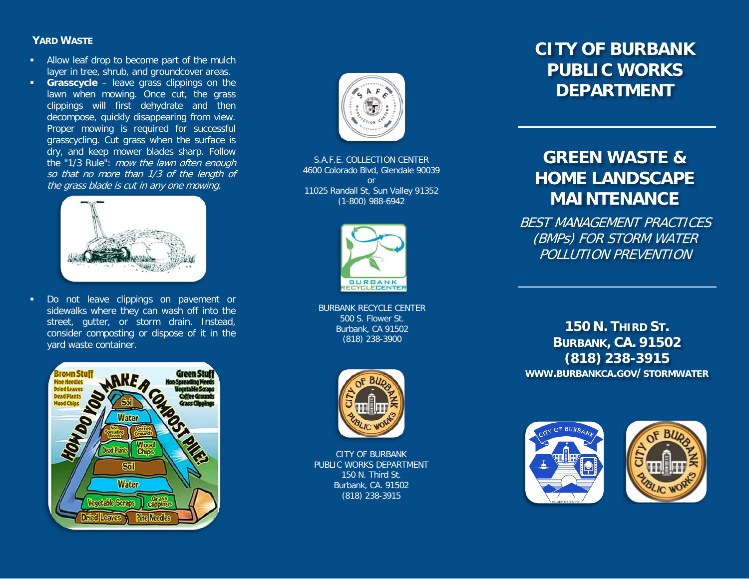### **YARD WASTE**

- **Allow leaf drop to become part of the mulch** layer in tree, shrub, and groundcover areas.
- **Grasscycle** leave grass clippings on the lawn when mowing. Once cut, the grass clippings will first dehydrate and then decompose, quickly disappearing from view. Proper mowing is required for successful grasscycling. Cut grass when the surface is dry, and keep mower blades sharp. Follow the "1/3 Rule": mow the lawn often enough so that no more than 1/3 of the length of the grass blade is cut in any one mowing.



**Do not leave clippings on pavement or** sidewalks where they can wash off into the street, gutter, or storm drain. Instead, consider composting or dispose of it in the yard waste container.





S.A.F.E. COLLECTION CENTER 4600 Colorado Blvd, Glendale 90039 or 11025 Randall St, Sun Valley 91352 (1-800) 988-6942



BURBANK RECYCLE CENTER 500 S. Flower St. Burbank, CA 91502 (818) 238-3900



CITY OF BURBANK PUBLIC WORKS DEPARTMENT 150 N. Third St. Burbank, CA. 91502 (818) 238-3915

# **CITY OF BURBANK PUBLIC WORKS DEPARTMENT**

# **GREEN WASTE & HOME LANDSCAPE MAINTENANCE**

BEST MANAGEMENT PRACTICES (BMPs) FOR STORM WATER POLLUTION PREVENTION

**150 N. THIRD ST. BURBANK, CA. 91502 (818) 238-3915 WWW.BURBANKCA.GOV/STORMWATER**